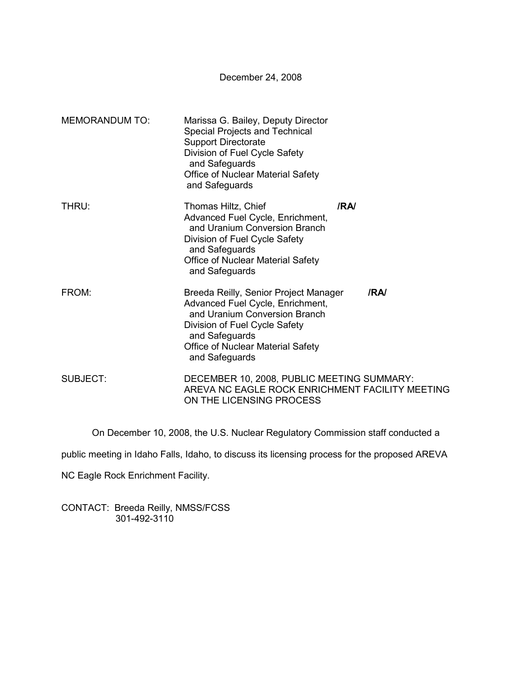December 24, 2008

| <b>MEMORANDUM TO:</b> | Marissa G. Bailey, Deputy Director<br>Special Projects and Technical<br><b>Support Directorate</b><br>Division of Fuel Cycle Safety<br>and Safeguards<br><b>Office of Nuclear Material Safety</b><br>and Safeguards         |     |
|-----------------------|-----------------------------------------------------------------------------------------------------------------------------------------------------------------------------------------------------------------------------|-----|
| THRU:                 | Thomas Hiltz, Chief<br>Advanced Fuel Cycle, Enrichment,<br>and Uranium Conversion Branch<br>Division of Fuel Cycle Safety<br>and Safeguards<br><b>Office of Nuclear Material Safety</b><br>and Safeguards                   | /RA |
| FROM:                 | Breeda Reilly, Senior Project Manager<br>Advanced Fuel Cycle, Enrichment,<br>and Uranium Conversion Branch<br>Division of Fuel Cycle Safety<br>and Safeguards<br><b>Office of Nuclear Material Safety</b><br>and Safeguards | /RA |
| <b>SUBJECT:</b>       | DECEMBER 10, 2008, PUBLIC MEETING SUMMARY:<br>AREVA NC EAGLE ROCK ENRICHMENT FACILITY MEETING<br>ON THE LICENSING PROCESS                                                                                                   |     |

On December 10, 2008, the U.S. Nuclear Regulatory Commission staff conducted a

public meeting in Idaho Falls, Idaho, to discuss its licensing process for the proposed AREVA

NC Eagle Rock Enrichment Facility.

CONTACT: Breeda Reilly, NMSS/FCSS 301-492-3110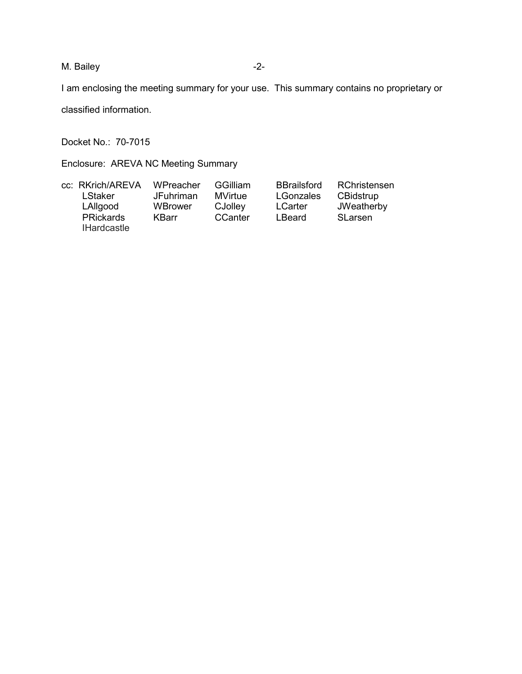M. Bailey

I am enclosing the meeting summary for your use. This summary contains no proprietary or

classified information.

Docket No.: 70-7015

Enclosure: AREVA NC Meeting Summary

| cc: RKrich/AREVA   | WPreacher    | <b>GGilliam</b> | <b>BBrailsford</b> | RChristensen   |
|--------------------|--------------|-----------------|--------------------|----------------|
| LStaker            | JFuhriman    | <b>MVirtue</b>  | LGonzales          | CBidstrup      |
| LAllgood           | WBrower      | CJolley         | <b>LCarter</b>     | JWeatherby     |
| <b>PRickards</b>   | <b>KBarr</b> | CCanter         | LBeard             | <b>SLarsen</b> |
| <b>IHardcastle</b> |              |                 |                    |                |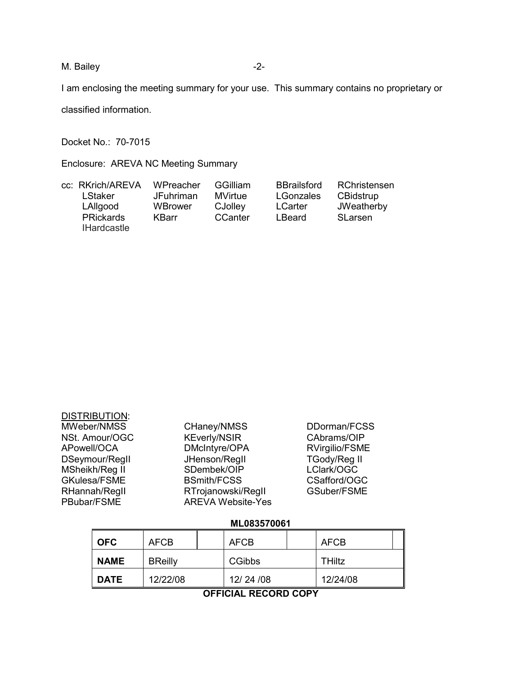M. Bailey

I am enclosing the meeting summary for your use. This summary contains no proprietary or

classified information.

Docket No.: 70-7015

Enclosure: AREVA NC Meeting Summary

| cc: RKrich/AREVA   | WPreacher        | <b>GGilliam</b> | <b>BBrailsford</b> | RChristensen |
|--------------------|------------------|-----------------|--------------------|--------------|
| LStaker            | <b>JFuhriman</b> | MVirtue         | LGonzales          | CBidstrup    |
| LAllgood           | WBrower          | CJolley         | <b>LCarter</b>     | JWeatherby   |
| <b>PRickards</b>   | <b>KBarr</b>     | CCanter         | LBeard             | SLarsen      |
| <b>IHardcastle</b> |                  |                 |                    |              |

| <b>DISTRIBUTION:</b> |                          |                     |
|----------------------|--------------------------|---------------------|
| MWeber/NMSS          | CHaney/NMSS              | DDorman/FCSS        |
| NSt. Amour/OGC       | <b>KEverly/NSIR</b>      | CAbrams/OIP         |
| APowell/OCA          | DMcIntyre/OPA            | RVirgilio/FSME      |
| DSeymour/Regll       | JHenson/Regll            | <b>TGody/Reg II</b> |
| MSheikh/Reg II       | SDembek/OIP              | LClark/OGC          |
| GKulesa/FSME         | <b>BSmith/FCSS</b>       | CSafford/OGC        |
| RHannah/Regll        | RTrojanowski/RegII       | GSuber/FSME         |
| PBubar/FSME          | <b>AREVA Website-Yes</b> |                     |
|                      |                          |                     |

# ML083570061

| <b>OFC</b>  | <b>AFCB</b>    |  | <b>AFCB</b> |  | <b>AFCB</b>   |  |
|-------------|----------------|--|-------------|--|---------------|--|
| <b>NAME</b> | <b>BReilly</b> |  | CGibbs      |  | <b>THiltz</b> |  |
| <b>DATE</b> | 12/22/08       |  | 12/24/08    |  | 12/24/08      |  |

**OFFICIAL RECORD COPY**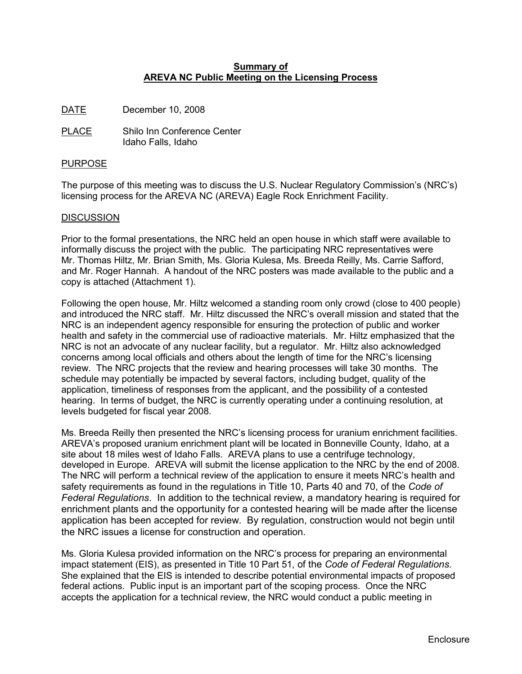## **Summary of AREVA NC Public Meeting on the Licensing Process**

DATE December 10, 2008

PLACE Shilo Inn Conference Center Idaho Falls, Idaho

#### PURPOSE

The purpose of this meeting was to discuss the U.S. Nuclear Regulatory Commission's (NRC's) licensing process for the AREVA NC (AREVA) Eagle Rock Enrichment Facility.

## **DISCUSSION**

Prior to the formal presentations, the NRC held an open house in which staff were available to informally discuss the project with the public. The participating NRC representatives were Mr. Thomas Hiltz, Mr. Brian Smith, Ms. Gloria Kulesa, Ms. Breeda Reilly, Ms. Carrie Safford, and Mr. Roger Hannah. A handout of the NRC posters was made available to the public and a copy is attached (Attachment 1).

Following the open house, Mr. Hiltz welcomed a standing room only crowd (close to 400 people) and introduced the NRC staff. Mr. Hiltz discussed the NRC's overall mission and stated that the NRC is an independent agency responsible for ensuring the protection of public and worker health and safety in the commercial use of radioactive materials. Mr. Hiltz emphasized that the NRC is not an advocate of any nuclear facility, but a regulator. Mr. Hiltz also acknowledged concerns among local officials and others about the length of time for the NRC's licensing review. The NRC projects that the review and hearing processes will take 30 months. The schedule may potentially be impacted by several factors, including budget, quality of the application, timeliness of responses from the applicant, and the possibility of a contested hearing. In terms of budget, the NRC is currently operating under a continuing resolution, at levels budgeted for fiscal year 2008.

Ms. Breeda Reilly then presented the NRC's licensing process for uranium enrichment facilities. AREVA's proposed uranium enrichment plant will be located in Bonneville County, Idaho, at a site about 18 miles west of Idaho Falls. AREVA plans to use a centrifuge technology, developed in Europe. AREVA will submit the license application to the NRC by the end of 2008. The NRC will perform a technical review of the application to ensure it meets NRC's health and safety requirements as found in the regulations in Title 10, Parts 40 and 70, of the *Code of Federal Regulations*. In addition to the technical review, a mandatory hearing is required for enrichment plants and the opportunity for a contested hearing will be made after the license application has been accepted for review. By regulation, construction would not begin until the NRC issues a license for construction and operation.

Ms. Gloria Kulesa provided information on the NRC's process for preparing an environmental impact statement (EIS), as presented in Title 10 Part 51, of the *Code of Federal Regulations.* She explained that the EIS is intended to describe potential environmental impacts of proposed federal actions. Public input is an important part of the scoping process. Once the NRC accepts the application for a technical review, the NRC would conduct a public meeting in